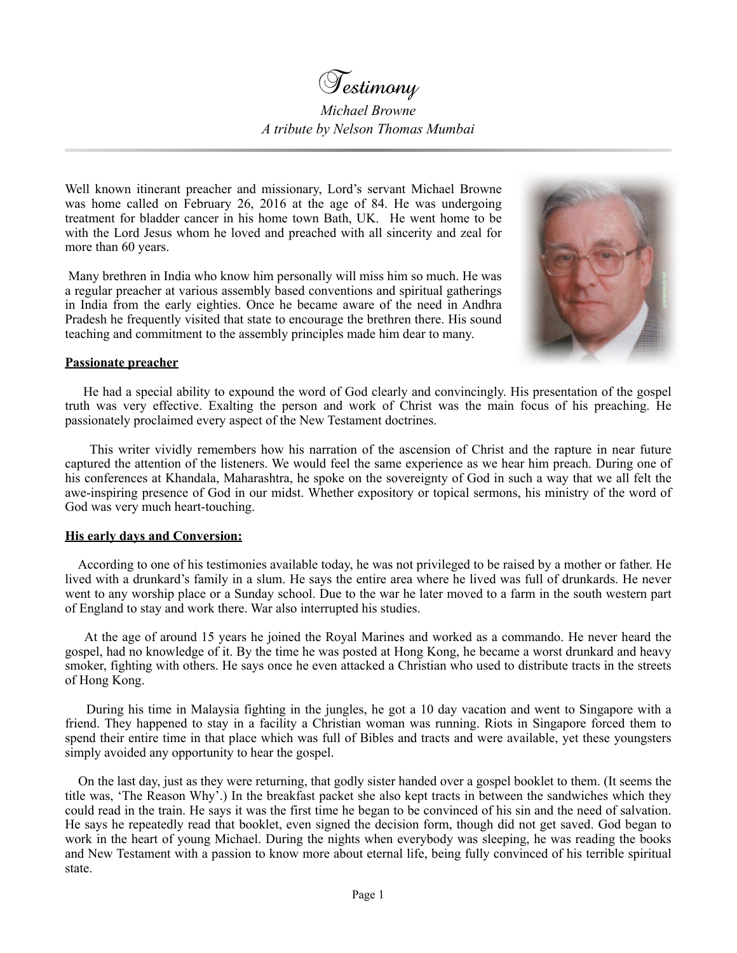

*Michael Browne A tribute by Nelson Thomas Mumbai*

Well known itinerant preacher and missionary, Lord's servant Michael Browne was home called on February 26, 2016 at the age of 84. He was undergoing treatment for bladder cancer in his home town Bath, UK. He went home to be with the Lord Jesus whom he loved and preached with all sincerity and zeal for more than 60 years.

 Many brethren in India who know him personally will miss him so much. He was a regular preacher at various assembly based conventions and spiritual gatherings in India from the early eighties. Once he became aware of the need in Andhra Pradesh he frequently visited that state to encourage the brethren there. His sound teaching and commitment to the assembly principles made him dear to many.



## **Passionate preacher**

 He had a special ability to expound the word of God clearly and convincingly. His presentation of the gospel truth was very effective. Exalting the person and work of Christ was the main focus of his preaching. He passionately proclaimed every aspect of the New Testament doctrines.

 This writer vividly remembers how his narration of the ascension of Christ and the rapture in near future captured the attention of the listeners. We would feel the same experience as we hear him preach. During one of his conferences at Khandala, Maharashtra, he spoke on the sovereignty of God in such a way that we all felt the awe-inspiring presence of God in our midst. Whether expository or topical sermons, his ministry of the word of God was very much heart-touching.

## **His early days and Conversion:**

 According to one of his testimonies available today, he was not privileged to be raised by a mother or father. He lived with a drunkard's family in a slum. He says the entire area where he lived was full of drunkards. He never went to any worship place or a Sunday school. Due to the war he later moved to a farm in the south western part of England to stay and work there. War also interrupted his studies.

 At the age of around 15 years he joined the Royal Marines and worked as a commando. He never heard the gospel, had no knowledge of it. By the time he was posted at Hong Kong, he became a worst drunkard and heavy smoker, fighting with others. He says once he even attacked a Christian who used to distribute tracts in the streets of Hong Kong.

 During his time in Malaysia fighting in the jungles, he got a 10 day vacation and went to Singapore with a friend. They happened to stay in a facility a Christian woman was running. Riots in Singapore forced them to spend their entire time in that place which was full of Bibles and tracts and were available, yet these youngsters simply avoided any opportunity to hear the gospel.

 On the last day, just as they were returning, that godly sister handed over a gospel booklet to them. (It seems the title was, 'The Reason Why'.) In the breakfast packet she also kept tracts in between the sandwiches which they could read in the train. He says it was the first time he began to be convinced of his sin and the need of salvation. He says he repeatedly read that booklet, even signed the decision form, though did not get saved. God began to work in the heart of young Michael. During the nights when everybody was sleeping, he was reading the books and New Testament with a passion to know more about eternal life, being fully convinced of his terrible spiritual state.